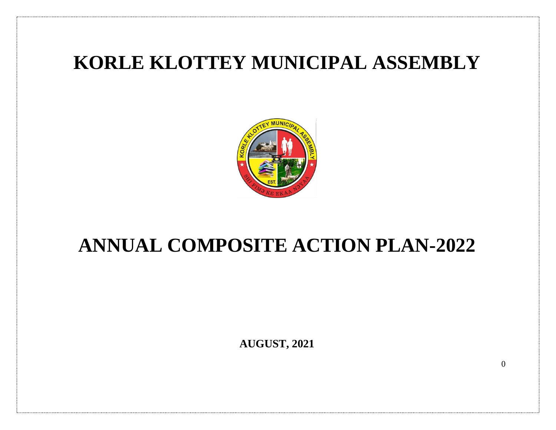## **KORLE KLOTTEY MUNICIPAL ASSEMBLY**



## **ANNUAL COMPOSITE ACTION PLAN-2022**

**AUGUST, 2021**

 $\Omega$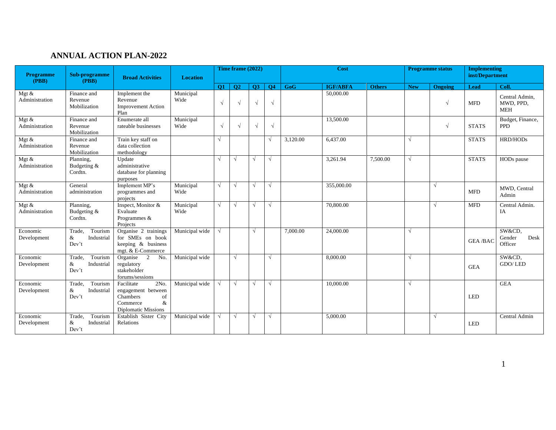## **ANNUAL ACTION PLAN-2022**

| <b>Programme</b><br>(PBB)             | Sub-programme<br>(PBB)                        | <b>Broad Activities</b>                                                                                   | <b>Location</b>   |            | Time frame (2022) |            |            |            | Cost            |               |            | <b>Programme status</b> | <b>Implementing</b><br>inst/Department |                                           |
|---------------------------------------|-----------------------------------------------|-----------------------------------------------------------------------------------------------------------|-------------------|------------|-------------------|------------|------------|------------|-----------------|---------------|------------|-------------------------|----------------------------------------|-------------------------------------------|
|                                       |                                               |                                                                                                           |                   | Q1         | <b>O2</b>         | <b>O3</b>  | <b>O4</b>  | <b>GoG</b> | <b>IGF/ABFA</b> | <b>Others</b> | <b>New</b> | <b>Ongoing</b>          | Lead                                   | Coll.                                     |
| Mgt $\&$<br>Administration            | Finance and<br>Revenue<br>Mobilization        | Implement the<br>Revenue<br><b>Improvement Action</b><br>Plan                                             | Municipal<br>Wide | $\sqrt{ }$ |                   | $\sqrt{ }$ | $\sqrt{ }$ |            | 50,000.00       |               |            | $\sqrt{ }$              | <b>MFD</b>                             | Central Admin.<br>MWD. PPD.<br><b>MEH</b> |
| Mgt &<br>Administration               | Finance and<br>Revenue<br>Mobilization        | Enumerate all<br>rateable businesses                                                                      | Municipal<br>Wide | $\sqrt{ }$ |                   | $\sqrt{ }$ | $\sqrt{ }$ |            | 13,500.00       |               |            | $\sqrt{ }$              | <b>STATS</b>                           | Budget, Finance,<br><b>PPD</b>            |
| Mgt $\&$<br>Administration            | Finance and<br>Revenue<br>Mobilization        | Train key staff on<br>data collection<br>methodology                                                      |                   |            |                   |            | $\sqrt{ }$ | 3,120.00   | 6.437.00        |               | $\sqrt{ }$ |                         | <b>STATS</b>                           | <b>HRD/HODs</b>                           |
| Mgt $\&$<br>Administration            | Planning,<br>Budgeting &<br>Cordtn.           | Update<br>administrative<br>database for planning<br>purposes                                             |                   |            | $\sqrt{ }$        | $\sqrt{ }$ | $\sqrt{ }$ |            | 3,261.94        | 7,500.00      | $\sqrt{ }$ |                         | <b>STATS</b>                           | HODs pause                                |
| Mgt $\overline{\&}$<br>Administration | General<br>administration                     | Implement MP's<br>programmes and<br>projects                                                              | Municipal<br>Wide | $\sqrt{ }$ | $\sqrt{ }$        | $\sqrt{ }$ | $\sqrt{ }$ |            | 355,000.00      |               |            | $\sqrt{ }$              | <b>MFD</b>                             | MWD, Central<br>Admin                     |
| Mgt &<br>Administration               | Planning,<br>Budgeting &<br>Cordtn.           | Inspect, Monitor &<br>Evaluate<br>Programmes &<br>Projects                                                | Municipal<br>Wide | $\sqrt{ }$ | $\sqrt{ }$        | $\sqrt{ }$ | $\sqrt{ }$ |            | 70,800.00       |               |            | $\sqrt{ }$              | <b>MFD</b>                             | Central Admin.<br>IA                      |
| Economic<br>Development               | Tourism<br>Trade,<br>&<br>Industrial<br>Dev't | Organise 2 trainings<br>for SMEs on book<br>keeping & business<br>mgt. & E-Commerce                       | Municipal wide    | $\sqrt{ }$ |                   | $\sqrt{ }$ |            | 7,000.00   | 24,000.00       |               | $\sqrt{ }$ |                         | <b>GEA/BAC</b>                         | SW&CD,<br>Desk<br>Gender<br>Officer       |
| Economic<br>Development               | Trade,<br>Tourism<br>Industrial<br>&<br>Dev't | Organise 2<br>No.<br>regulatory<br>stakeholder<br>forums/sessions                                         | Municipal wide    |            | $\sqrt{ }$        |            | V          |            | 8,000.00        |               | $\sqrt{ }$ |                         | <b>GEA</b>                             | SW&CD,<br>GDO/LED                         |
| Economic<br>Development               | Tourism<br>Trade.<br>&<br>Industrial<br>Dev't | Facilitate<br>2No.<br>engagement between<br>Chambers<br>of<br>&<br>Commerce<br><b>Diplomatic Missions</b> | Municipal wide    | $\sqrt{ }$ | $\sqrt{ }$        | $\sqrt{ }$ | $\sqrt{ }$ |            | 10,000.00       |               | $\sqrt{ }$ |                         | <b>LED</b>                             | <b>GEA</b>                                |
| Economic<br>Development               | Tourism<br>Trade,<br>Industrial<br>&<br>Dev't | Establish Sister City<br>Relations                                                                        | Municipal wide    | $\sqrt{ }$ | $\sqrt{ }$        | $\sqrt{ }$ | $\sqrt{ }$ |            | 5,000.00        |               |            | $\sqrt{ }$              | <b>LED</b>                             | Central Admin                             |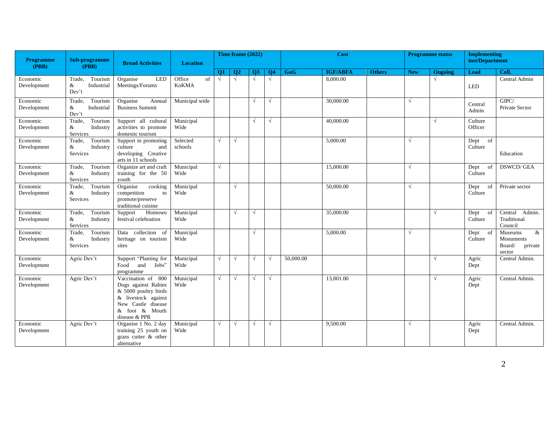| <b>Programme</b><br>(PBB) | Sub-programme<br>(PBB)                                   | <b>Broad Activities</b>                                                                                                                           | <b>Location</b>       |            | Time frame (2022) |            |            |           | Cost            |               |            | <b>Programme status</b> | <b>Implementing</b><br>inst/Department |                                                             |
|---------------------------|----------------------------------------------------------|---------------------------------------------------------------------------------------------------------------------------------------------------|-----------------------|------------|-------------------|------------|------------|-----------|-----------------|---------------|------------|-------------------------|----------------------------------------|-------------------------------------------------------------|
|                           |                                                          |                                                                                                                                                   |                       | <b>O1</b>  | O <sub>2</sub>    | <b>O3</b>  | <b>O4</b>  | GoG       | <b>IGF/ABFA</b> | <b>Others</b> | <b>New</b> | Ongoing                 | Lead                                   | Coll.                                                       |
| Economic<br>Development   | Tourism<br>Trade,<br>&<br>Industrial<br>Dev't            | <b>LED</b><br>Organise<br>Meetings/Forums                                                                                                         | Office<br>of<br>KoKMA | $\sqrt{ }$ | $\sqrt{ }$        | $\sqrt{ }$ | $\sqrt{ }$ |           | 8,000.00        |               |            | $\sqrt{ }$              | <b>LED</b>                             | Central Admin                                               |
| Economic<br>Development   | Tourism<br>Trade.<br>&<br>Industrial<br>$\mathrm{Dev't}$ | Organise<br>Annual<br><b>Business Summit</b>                                                                                                      | Municipal wide        |            |                   | $\sqrt{}$  | $\sqrt{ }$ |           | 30,000.00       |               | $\sqrt{ }$ |                         | Central<br>Admin                       | GIPC/<br>Private Sector                                     |
| Economic<br>Development   | Trade,<br>Tourism<br>&<br>Industry<br>Services           | Support all cultural<br>activities to promote<br>domestic tourism                                                                                 | Municipal<br>Wide     |            |                   | $\sqrt{ }$ | $\sqrt{ }$ |           | 40,000.00       |               |            | $\sqrt{ }$              | Culture<br>Officer                     |                                                             |
| Economic<br>Development   | Tourism<br>Trade,<br>&<br>Industry<br>Services           | Support in promoting<br>culture<br>and<br>developing Creative<br>arts in 11 schools                                                               | Selected<br>schools   | $\sqrt{ }$ | $\sqrt{ }$        |            |            |           | 5,000.00        |               | $\sqrt{ }$ |                         | Dept<br>of<br>Culture                  | Education                                                   |
| Economic<br>Development   | Tourism<br>Trade,<br>&<br>Industry<br>Services           | Organize art and craft<br>training for the 50<br>youth                                                                                            | Municipal<br>Wide     | $\sqrt{ }$ |                   |            |            |           | 15,000.00       |               | $\sqrt{ }$ |                         | Dept<br>of<br>Culture                  | <b>DSWCD/GEA</b>                                            |
| Economic<br>Development   | Trade.<br>Tourism<br>&<br>Industry<br>Services           | Organise<br>cooking<br>competition<br>to<br>promote/preserve<br>traditional cuisine                                                               | Municipal<br>Wide     |            | $\sqrt{ }$        |            |            |           | 50,000.00       |               | $\sqrt{ }$ |                         | Dept<br>of<br>Culture                  | Private sector                                              |
| Economic<br>Development   | Tourism<br>Trade,<br>&<br>Industry<br>Services           | Support<br>Homowo<br>festival celebration                                                                                                         | Municipal<br>Wide     |            | $\sqrt{ }$        | $\sqrt{ }$ |            |           | 35,000.00       |               |            | $\sqrt{ }$              | Dept<br>of<br>Culture                  | Central<br>Admin.<br>Traditional<br>Council                 |
| Economic<br>Development   | Tourism<br>Trade,<br>&<br>Industry<br>Services           | Data collection of<br>heritage on tourism<br>sites                                                                                                | Municipal<br>Wide     |            |                   | $\sqrt{ }$ |            |           | 5,000.00        |               | $\sqrt{ }$ |                         | Dept of<br>Culture                     | Museums<br>$\&$<br>Monuments<br>Board/<br>private<br>sector |
| Economic<br>Development   | Agric Dev't                                              | Support "Planting for<br>Food and<br>Jobs"<br>programme                                                                                           | Municipal<br>Wide     | $\sqrt{ }$ | $\sqrt{ }$        | $\sqrt{ }$ | $\sqrt{ }$ | 50,000.00 |                 |               |            | $\sqrt{ }$              | Agric<br>Dept                          | Central Admin.                                              |
| Economic<br>Development   | Agric Dev't                                              | Vaccination of 800<br>Dogs against Rabies<br>& 5000 poultry birds<br>& livestock against<br>New Castle disease<br>& foot & Mouth<br>disease & PPR | Municipal<br>Wide     | $\sqrt{ }$ | $\sqrt{ }$        | $\sqrt{ }$ | $\sqrt{ }$ |           | 13,801.00       |               |            | $\sqrt{ }$              | Agric<br>Dept                          | Central Admin.                                              |
| Economic<br>Development   | Agric Dev't                                              | Organise 1 No. 2 day<br>training 25 youth on<br>grass cutter & other<br>alternative                                                               | Municipal<br>Wide     | $\sqrt{ }$ | $\sqrt{ }$        | $\sqrt{ }$ | $\sqrt{ }$ |           | 9,500.00        |               | $\sqrt{ }$ |                         | Agric<br>Dept                          | Central Admin.                                              |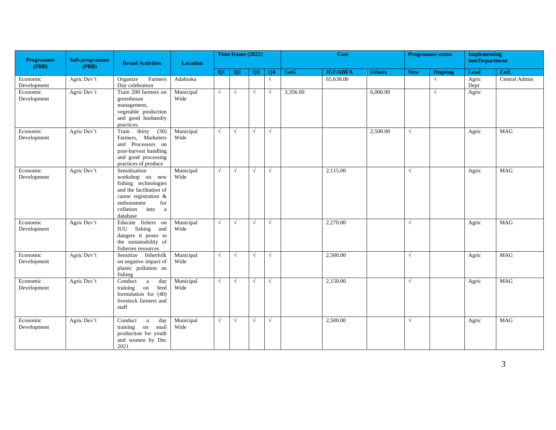| Programme<br>(PBB)      | Sub-programme<br>(PBB) | <b>Broad Activities</b>                                                                                                                                                | <b>Location</b>   |            | Time frame (2022) |            |                 |          | <b>Cost</b>     |               |            | <b>Programme status</b> | <b>Implementing</b><br>inst/Department |               |
|-------------------------|------------------------|------------------------------------------------------------------------------------------------------------------------------------------------------------------------|-------------------|------------|-------------------|------------|-----------------|----------|-----------------|---------------|------------|-------------------------|----------------------------------------|---------------|
|                         |                        |                                                                                                                                                                        |                   | <b>O1</b>  | <b>O2</b>         | <b>O3</b>  | $\overline{O4}$ | GoG      | <b>IGF/ABFA</b> | <b>Others</b> | <b>New</b> | Ongoing                 | Lead                                   | Coll.         |
| Economic<br>Development | Agric Dev't            | Organize<br>Farmers<br>Day celebration                                                                                                                                 | Adabraka          |            |                   |            | $\sqrt{ }$      |          | 65,638.00       |               |            | $\sqrt{ }$              | Agric<br>Dept                          | Central Admin |
| Economic<br>Development | Agric Dev't            | Train 200 farmers on<br>greenhouse<br>management,<br>vegetable production<br>and good husbandry<br>practices.                                                          | Municipal<br>Wide | $\sqrt{ }$ | $\sqrt{ }$        | $\sqrt{ }$ | $\sqrt{ }$      | 3,356.00 |                 | 6,000.00      |            | $\sqrt{ }$              | Agric                                  |               |
| Economic<br>Development | Agric Dev't            | thirty<br>(30)<br>Train<br>Farmers, Marketers<br>and Processors on<br>post-harvest handling<br>and good processing<br>practices of produce                             | Municipal<br>Wide | $\sqrt{ }$ | $\sqrt{ }$        | $\sqrt{ }$ | $\sqrt{ }$      |          |                 | 2,500.00      | $\sqrt{ }$ |                         | Agric                                  | <b>MAG</b>    |
| Economic<br>Development | Agric Dev't            | Sensitization<br>workshop on new<br>fishing technologies<br>and the facilitation of<br>canoe registration &<br>embossment<br>for<br>into<br>collation<br>a<br>database | Municipal<br>Wide | $\sqrt{ }$ | $\sqrt{ }$        | $\sqrt{ }$ | $\sqrt{ }$      |          | 2,115.00        |               | $\sqrt{ }$ |                         | Agric                                  | <b>MAG</b>    |
| Economic<br>Development | Agric Dev't            | Educate fishers on<br>IUU fishing and<br>dangers it poses to<br>the sustainability of<br>fisheries resources                                                           | Municipal<br>Wide | $\sqrt{ }$ | $\sqrt{ }$        | $\sqrt{ }$ | $\sqrt{ }$      |          | 2,270.00        |               | $\sqrt{ }$ |                         | Agric                                  | MAG           |
| Economic<br>Development | Agric Dev't            | Sensitize fisherfolk<br>on negative impact of<br>plastic pollution on<br>fishing                                                                                       | Municipal<br>Wide | $\sqrt{ }$ | $\sqrt{ }$        | $\sqrt{ }$ | $\sqrt{ }$      |          | 2,500.00        |               | V          |                         | Agric                                  | <b>MAG</b>    |
| Economic<br>Development | Agric Dev't            | Conduct<br><sub>a</sub><br>day<br>training<br>feed<br>on<br>formulation for $(40)$<br>livestock farmers and<br>staff                                                   | Municipal<br>Wide | $\sqrt{ }$ | $\sqrt{ }$        | $\sqrt{ }$ | $\sqrt{ }$      |          | 2,150.00        |               | $\sqrt{ }$ |                         | Agric                                  | <b>MAG</b>    |
| Economic<br>Development | Agric Dev't            | Conduct<br>day<br>a<br>training<br>on snail<br>production for youth<br>and women by Dec<br>2021                                                                        | Municipal<br>Wide | $\sqrt{ }$ | $\sqrt{ }$        | $\sqrt{ }$ | $\sqrt{ }$      |          | 2,500.00        |               | $\sqrt{ }$ |                         | Agric                                  | MAG           |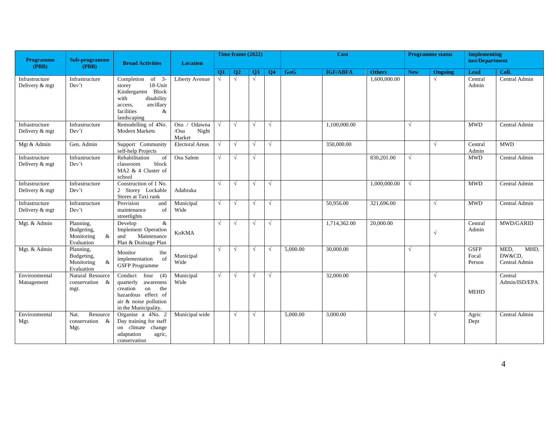| <b>Programme</b>                 | Sub-programme                                               | <b>Broad Activities</b>                                                                                                                           | <b>Location</b>                              |            | Time frame (2022) |            |            |          | Cost            |               |            | <b>Programme</b> status | <b>Implementing</b><br>inst/Department |                                         |
|----------------------------------|-------------------------------------------------------------|---------------------------------------------------------------------------------------------------------------------------------------------------|----------------------------------------------|------------|-------------------|------------|------------|----------|-----------------|---------------|------------|-------------------------|----------------------------------------|-----------------------------------------|
| (PBB)                            | (PBB)                                                       |                                                                                                                                                   |                                              | <b>O1</b>  | $\overline{O2}$   | <b>O3</b>  | <b>O4</b>  | GoG      | <b>IGF/ABFA</b> | <b>Others</b> | <b>New</b> | Ongoing                 | <b>Lead</b>                            | Coll.                                   |
| Infrastructure<br>Delivery & mgt | Infrastructure<br>Dev't                                     | Completion<br>of $3$ -<br>18-Unit<br>storey<br>Kindergarten Block<br>disability<br>with<br>ancillary<br>access.<br>facilities<br>&<br>landscaping | Liberty Avenue                               | $\sqrt{ }$ | $\sqrt{ }$        | $\sqrt{ }$ |            |          |                 | 1,600,000.00  |            | $\sqrt{ }$              | Central<br>Admin                       | Central Admin                           |
| Infrastructure<br>Delivery & mgt | Infrastructure<br>Dev't                                     | Remodelling of 4No.<br><b>Modern Markets</b>                                                                                                      | Odawna<br>$Osu$ /<br>Night<br>/Osu<br>Market | V          | $\sqrt{ }$        | $\sqrt{ }$ | √          |          | 1,100,000.00    |               | $\sqrt{ }$ |                         | <b>MWD</b>                             | Central Admin                           |
| Mgt & Admin                      | Gen. Admin                                                  | Support Community<br>self-help Projects                                                                                                           | <b>Electoral Areas</b>                       | $\sqrt{ }$ | $\sqrt{ }$        | $\sqrt{ }$ | √          |          | 350,000.00      |               |            | $\sqrt{ }$              | Central<br>Admin                       | <b>MWD</b>                              |
| Infrastructure<br>Delivery & mgt | Infrastructure<br>Dev't                                     | Rehabilitation<br>of<br>classroom<br>block<br>MA2 & 4 Cluster of<br>school                                                                        | Osu Salem                                    | $\sqrt{ }$ | $\sqrt{ }$        | $\sqrt{ }$ |            |          |                 | 830,201.00    | $\sqrt{ }$ |                         | <b>MWD</b>                             | Central Admin                           |
| Infrastructure<br>Delivery & mgt | Infrastructure<br>Dev't                                     | Construction of 1 No.<br>2 Storey Lockable<br>Stores at Taxi rank                                                                                 | Adabraka                                     | V          | $\sqrt{ }$        | $\sqrt{ }$ | $\sqrt{ }$ |          |                 | 1,000,000.00  | $\sqrt{ }$ |                         | <b>MWD</b>                             | Central Admin                           |
| Infrastructure<br>Delivery & mgt | Infrastructure<br>Dev't                                     | Provision<br>and<br>maintenance<br>of<br>streetlights                                                                                             | Municipal<br>Wide                            | $\sqrt{ }$ | $\sqrt{ }$        | $\sqrt{ }$ | $\sqrt{ }$ |          | 50,956.00       | 321,696.00    |            | $\sqrt{ }$              | <b>MWD</b>                             | Central Admin                           |
| Mgt. & Admin                     | Planning,<br>Budgeting,<br>Monitoring<br>&<br>Evaluation    | &<br>Develop<br><b>Implement Operation</b><br>Maintenance<br>and<br>Plan & Drainage Plan                                                          | <b>KoKMA</b>                                 | √          | $\sqrt{ }$        | $\sqrt{}$  | $\sqrt{ }$ |          | 1,714,362.00    | 20,000.00     |            | $\sqrt{ }$              | Central<br>Admin                       | MWD/GARID                               |
| Mgt. & Admin                     | Planning,<br>Budgeting,<br>Monitoring<br>$\&$<br>Evaluation | Monitor<br>the<br>implementation<br>of<br><b>GSFP</b> Programme                                                                                   | Municipal<br>Wide                            | √          | $\sqrt{ }$        | $\sqrt{ }$ | $\sqrt{ }$ | 5,000.00 | 30,000.00       |               | $\sqrt{ }$ |                         | <b>GSFP</b><br>Focal<br>Person         | MED,<br>MHD,<br>DW&CD,<br>Central Admin |
| Environmental<br>Management      | Natural Resource<br>conservation &<br>mgt.                  | Conduct<br>four $(4)$<br>quarterly<br>awareness<br>creation<br>on<br>the<br>hazardous effect of<br>air & noise pollution<br>in the Municipality.  | Municipal<br>Wide                            | $\sqrt{ }$ | $\sqrt{ }$        | V          | √          |          | 32,000.00       |               |            | $\sqrt{ }$              | <b>MEHD</b>                            | Central<br>Admin/ISD/EPA                |
| Environmental<br>Mgt.            | Nat.<br>Resource<br>conservation &<br>Mgt.                  | Organise a 4No. 2<br>Day training for staff<br>on climate change<br>adaptation<br>agric,<br>conservation                                          | Municipal wide                               |            | $\sqrt{ }$        | $\sqrt{ }$ |            | 5,000.00 | 3,000.00        |               |            | $\sqrt{ }$              | Agric<br>Dept                          | Central Admin                           |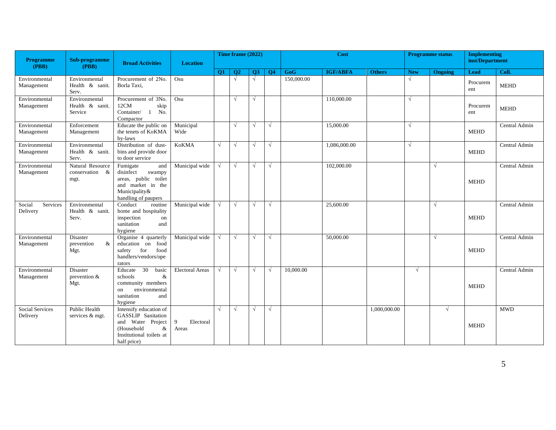| <b>Programme</b><br>(PBB)      | Sub-programme<br>(PBB)                      | <b>Broad Activities</b>                                                                                                                   | <b>Location</b>                   |            | Time frame (2022) |            |                |            | <b>Cost</b>     |               |            | <b>Programme status</b> | <b>Implementing</b><br>inst/Department |               |
|--------------------------------|---------------------------------------------|-------------------------------------------------------------------------------------------------------------------------------------------|-----------------------------------|------------|-------------------|------------|----------------|------------|-----------------|---------------|------------|-------------------------|----------------------------------------|---------------|
|                                |                                             |                                                                                                                                           |                                   | <b>O1</b>  | O <sub>2</sub>    | <b>O3</b>  | Q <sub>4</sub> | GoG        | <b>IGF/ABFA</b> | <b>Others</b> | <b>New</b> | Ongoing                 | Lead                                   | Coll.         |
| Environmental<br>Management    | Environmental<br>Health & sanit.<br>Serv.   | Procurement of 2No.<br>Borla Taxi,                                                                                                        | Osu                               |            | $\sqrt{ }$        | $\sqrt{}$  |                | 150,000.00 |                 |               | V          |                         | Procurem<br>ent                        | <b>MEHD</b>   |
| Environmental<br>Management    | Environmental<br>Health & sanit.<br>Service | Procurement of 3No.<br>12CM<br>skip<br>Container/<br>No.<br>$\mathbf{1}$<br>Compactor                                                     | Osu                               |            |                   | $\sqrt{ }$ |                |            | 110,000.00      |               | N          |                         | Procurem<br>ent                        | <b>MEHD</b>   |
| Environmental<br>Management    | Enforcement<br>Management                   | Educate the public on<br>the tenets of KoKMA<br>by-laws                                                                                   | Municipal<br>Wide                 |            | $\sqrt{ }$        | $\sqrt{ }$ | $\sqrt{ }$     |            | 15,000.00       |               | $\sqrt{ }$ |                         | <b>MEHD</b>                            | Central Admin |
| Environmental<br>Management    | Environmental<br>Health & sanit.<br>Serv.   | Distribution of dust-<br>bins and provide door<br>to door service                                                                         | <b>KoKMA</b>                      | $\sqrt{ }$ | $\sqrt{ }$        | $\sqrt{ }$ | $\sqrt{ }$     |            | 1,086,000.00    |               | $\sqrt{ }$ |                         | <b>MEHD</b>                            | Central Admin |
| Environmental<br>Management    | Natural Resource<br>conservation &<br>mgt.  | Fumigate<br>and<br>disinfect<br>swampy<br>areas, public toilet<br>and market in the<br>Municipality&<br>handling of paupers               | Municipal wide                    | $\sqrt{ }$ | $\sqrt{ }$        | $\sqrt{ }$ | √              |            | 102,000.00      |               |            | $\sqrt{ }$              | <b>MEHD</b>                            | Central Admin |
| Services<br>Social<br>Delivery | Environmental<br>Health & sanit.<br>Serv.   | Conduct<br>routine<br>home and hospitality<br>inspection<br>on<br>sanitation<br>and<br>hygiene                                            | Municipal wide                    | $\sqrt{ }$ | $\sqrt{ }$        | $\sqrt{ }$ | √              |            | 25,600.00       |               |            | $\sqrt{ }$              | <b>MEHD</b>                            | Central Admin |
| Environmental<br>Management    | <b>Disaster</b><br>prevention<br>&<br>Mgt.  | Organise 4 quarterly<br>education on food<br>safety<br>for<br>food<br>handlers/vendors/ope<br>rators                                      | Municipal wide                    | $\sqrt{ }$ | $\sqrt{ }$        | $\sqrt{ }$ | $\sqrt{ }$     |            | 50,000.00       |               |            | $\sqrt{ }$              | <b>MEHD</b>                            | Central Admin |
| Environmental<br>Management    | Disaster<br>prevention $&$<br>Mgt.          | $\overline{30}$<br>basic<br>Educate<br>schools<br>$\&$<br>community members<br>environmental<br>on<br>sanitation<br>and<br>hygiene        | <b>Electoral Areas</b>            | V          | $\sqrt{ }$        | $\sqrt{ }$ | $\sqrt{ }$     | 10,000.00  |                 |               | $\sqrt{ }$ |                         | <b>MEHD</b>                            | Central Admin |
| Social Services<br>Delivery    | Public Health<br>services & mgt.            | Intensify education of<br><b>GASSLIP</b> Sanitation<br>and Water Project<br>(Household<br>$\&$<br>Institutional toilets at<br>half price) | $\mathbf Q$<br>Electoral<br>Areas | $\sqrt{ }$ | $\sqrt{ }$        | $\sqrt{}$  | $\sqrt{}$      |            |                 | 1,000,000.00  |            | $\sqrt{ }$              | <b>MEHD</b>                            | <b>MWD</b>    |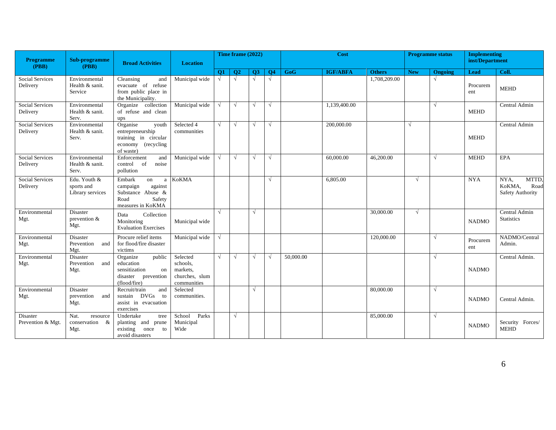| <b>Programme</b><br>(PBB)          | Sub-programme<br>(PBB)                         | <b>Broad Activities</b>                                                                              | <b>Location</b>                                                   |            | Time frame (2022) |            |                |           | Cost            |               |            | <b>Programme status</b> | <b>Implementing</b><br>inst/Department |                                                     |
|------------------------------------|------------------------------------------------|------------------------------------------------------------------------------------------------------|-------------------------------------------------------------------|------------|-------------------|------------|----------------|-----------|-----------------|---------------|------------|-------------------------|----------------------------------------|-----------------------------------------------------|
|                                    |                                                |                                                                                                      |                                                                   | <b>O1</b>  | Q <sub>2</sub>    | Q3         | Q <sub>4</sub> | GoG       | <b>IGF/ABFA</b> | <b>Others</b> | <b>New</b> | <b>Ongoing</b>          | <b>Lead</b>                            | Coll.                                               |
| <b>Social Services</b><br>Delivery | Environmental<br>Health & sanit.<br>Service    | Cleansing<br>and<br>evacuate of refuse<br>from public place in<br>the Municipality.                  | Municipal wide                                                    | $\sqrt{ }$ | $\sqrt{2}$        | $\sqrt{ }$ | $\sqrt{ }$     |           |                 | 1,708,209.00  |            | $\sqrt{ }$              | Procurem<br>ent                        | <b>MEHD</b>                                         |
| Social Services<br>Delivery        | Environmental<br>Health & sanit.<br>Serv.      | Organize collection<br>of refuse and clean<br>ups                                                    | Municipal wide                                                    | $\sqrt{ }$ | $\sqrt{ }$        | $\sqrt{ }$ | $\sqrt{ }$     |           | 1,139,400.00    |               |            | $\sqrt{ }$              | <b>MEHD</b>                            | Central Admin                                       |
| <b>Social Services</b><br>Delivery | Environmental<br>Health & sanit.<br>Serv.      | Organise<br>youth<br>entrepreneurship<br>training in circular<br>economy (recycling<br>of waste)     | Selected 4<br>communities                                         | $\sqrt{ }$ | $\sqrt{ }$        | $\sqrt{ }$ | $\sqrt{ }$     |           | 200,000.00      |               | $\sqrt{ }$ |                         | <b>MEHD</b>                            | Central Admin                                       |
| Social Services<br>Delivery        | Environmental<br>Health & sanit.<br>Serv.      | Enforcement<br>and<br><sub>of</sub><br>control<br>noise<br>pollution                                 | Municipal wide                                                    | $\sqrt{ }$ | $\sqrt{ }$        | $\sqrt{ }$ |                |           | 60,000.00       | 46,200.00     |            | $\sqrt{ }$              | <b>MEHD</b>                            | <b>EPA</b>                                          |
| <b>Social Services</b><br>Delivery | Edu. Youth &<br>sports and<br>Library services | Embark<br>on<br>a<br>campaign<br>against<br>Substance Abuse &<br>Safety<br>Road<br>measures in KoKMA | <b>KoKMA</b>                                                      |            |                   |            |                |           | 6,805.00        |               | $\sqrt{ }$ |                         | <b>NYA</b>                             | NYA,<br>MTTD,<br>KoKMA,<br>Road<br>Safety Authority |
| Environmental<br>Mgt.              | <b>Disaster</b><br>prevention $&$<br>Mgt.      | Collection<br>Data<br>Monitoring<br><b>Evaluation Exercises</b>                                      | Municipal wide                                                    | $\sqrt{ }$ |                   | $\sqrt{ }$ |                |           |                 | 30,000.00     | $\sqrt{ }$ |                         | <b>NADMO</b>                           | Central Admin<br><b>Statistics</b>                  |
| Environmental<br>Mgt.              | <b>Disaster</b><br>Prevention<br>and<br>Mgt.   | Procure relief items<br>for flood/fire disaster<br>victims                                           | Municipal wide                                                    | $\sqrt{ }$ |                   |            |                |           |                 | 120,000.00    |            | $\sqrt{ }$              | Procurem<br>ent                        | NADMO/Central<br>Admin.                             |
| Environmental<br>Mgt.              | Disaster<br>Prevention<br>and<br>Mgt.          | Organize<br>public<br>education<br>sensitization<br>on<br>disaster prevention<br>(flood/fire)        | Selected<br>schools,<br>markets,<br>churches, slum<br>communities | $\sqrt{ }$ | $\sqrt{ }$        | $\sqrt{ }$ | $\sqrt{ }$     | 50,000.00 |                 |               |            | $\sqrt{}$               | <b>NADMO</b>                           | Central Admin.                                      |
| Environmental<br>Mgt.              | Disaster<br>prevention<br>and<br>Mgt.          | Recruit/train<br>and<br>sustain DVGs<br>to<br>assist in evacuation<br>exercises                      | Selected<br>communities.                                          |            |                   | $\sqrt{ }$ |                |           |                 | 80,000.00     |            | $\sqrt{ }$              | <b>NADMO</b>                           | Central Admin.                                      |
| Disaster<br>Prevention & Mgt.      | Nat.<br>resource<br>conservation &<br>Mgt.     | Undertake<br>tree<br>planting and prune<br>existing<br>once<br>to<br>avoid disasters                 | School<br>Parks<br>Municipal<br>Wide                              |            | √                 |            |                |           |                 | 85,000.00     |            | $\sqrt{ }$              | <b>NADMO</b>                           | Security Forces/<br><b>MEHD</b>                     |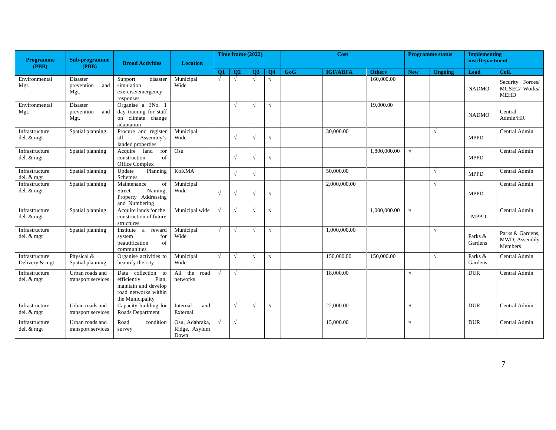| <b>Programme</b><br>(PBB)        | Sub-programme<br>(PBB)                | <b>Broad Activities</b>                                                                                        | <b>Location</b>                         |            | Time frame (2022) |            |            |            | Cost            |               |            | <b>Programme status</b> | <b>Implementing</b><br>inst/Department |                                                  |
|----------------------------------|---------------------------------------|----------------------------------------------------------------------------------------------------------------|-----------------------------------------|------------|-------------------|------------|------------|------------|-----------------|---------------|------------|-------------------------|----------------------------------------|--------------------------------------------------|
|                                  |                                       |                                                                                                                |                                         | <b>O1</b>  | <b>O2</b>         | Q3         | <b>O4</b>  | <b>GoG</b> | <b>IGF/ABFA</b> | <b>Others</b> | <b>New</b> | Ongoing                 | Lead                                   | Coll.                                            |
| Environmental<br>Mgt.            | Disaster<br>prevention<br>and<br>Mgt. | disaster<br>Support<br>simulation<br>exercise/emergency<br>responses                                           | Municipal<br>Wide                       | $\sqrt{ }$ | $\sqrt{ }$        | $\sqrt{ }$ | $\sqrt{ }$ |            |                 | 160,000.00    |            |                         | <b>NADMO</b>                           | Security Forces/<br>MUSEC/ Works/<br><b>MEHD</b> |
| Environmental<br>Mgt.            | Disaster<br>prevention<br>and<br>Mgt. | Organise a 3No. 1<br>day training for staff<br>on climate change<br>adaptation                                 |                                         |            | $\sqrt{ }$        | $\sqrt{ }$ | $\sqrt{ }$ |            |                 | 19,000.00     |            |                         | <b>NADMO</b>                           | Central<br>Admin/HR                              |
| Infrastructure<br>del. & mgt     | Spatial planning                      | Procure and register<br>Assembly's<br>all<br>landed properties                                                 | Municipal<br>Wide                       |            | $\sqrt{ }$        | $\sqrt{}$  | $\sqrt{}$  |            | 30,000.00       |               |            | $\sqrt{ }$              | <b>MPPD</b>                            | Central Admin                                    |
| Infrastructure<br>del. & mgt     | Spatial planning                      | for<br>land<br>Acquire<br>construction<br>of<br>Office Complex                                                 | Osu                                     |            | $\sqrt{ }$        | $\sqrt{}$  | $\sqrt{}$  |            |                 | 1,800,000.00  | $\sqrt{ }$ |                         | <b>MPPD</b>                            | Central Admin                                    |
| Infrastructure<br>del. & mgt     | Spatial planning                      | Update<br>Planning<br>Schemes                                                                                  | <b>KoKMA</b>                            |            | $\sqrt{ }$        | $\sqrt{ }$ |            |            | 50,000.00       |               |            | $\sqrt{ }$              | <b>MPPD</b>                            | Central Admin                                    |
| Infrastructure<br>$del. &$ mgt   | Spatial planning                      | Maintenance<br>of<br>Naming,<br><b>Street</b><br>Property Addressing<br>and Numbering                          | Municipal<br>Wide                       | $\sqrt{ }$ | $\sqrt{ }$        | $\sqrt{}$  | $\sqrt{}$  |            | 2,000,000.00    |               |            | $\sqrt{ }$              | <b>MPPD</b>                            | Central Admin                                    |
| Infrastructure<br>del. & mgt     | Spatial planning                      | Acquire lands for the<br>construction of future<br>structures                                                  | Municipal wide                          |            | $\sqrt{ }$        | V          | √          |            |                 | 1,000,000.00  | V          |                         | <b>MPPD</b>                            | Central Admin                                    |
| Infrastructure<br>del. $&$ mgt   | Spatial planning                      | Institute a reward<br>for<br>system<br>beautification<br>of<br>communities                                     | Municipal<br>Wide                       | $\sqrt{ }$ | $\sqrt{ }$        | $\sqrt{ }$ | √          |            | 1,000,000.00    |               |            | $\sqrt{ }$              | Parks &<br>Gardens                     | Parks & Gardens.<br>MWD, Assembly<br>Members     |
| Infrastructure<br>Delivery & mgt | Physical &<br>Spatial planning        | Organise activities to<br>beautify the city                                                                    | Municipal<br>Wide                       | $\sqrt{ }$ | $\sqrt{ }$        | $\sqrt{}$  | √          |            | 150,000.00      | 150,000.00    |            | $\sqrt{ }$              | Parks &<br>Gardens                     | Central Admin                                    |
| Infrastructure<br>$del. &$ mgt   | Urban roads and<br>transport services | Data collection to<br>efficiently<br>Plan,<br>maintain and develop<br>road networks within<br>the Municipality | All the road<br>networks                | $\sqrt{ }$ | $\sqrt{ }$        |            |            |            | 18,000.00       |               | $\sqrt{ }$ |                         | <b>DUR</b>                             | Central Admin                                    |
| Infrastructure<br>del. & mgt     | Urban roads and<br>transport services | Capacity building for<br>Roads Department                                                                      | Internal<br>and<br>External             |            | $\sqrt{ }$        | $\sqrt{}$  | √          |            | 22,000.00       |               | $\sqrt{ }$ |                         | <b>DUR</b>                             | Central Admin                                    |
| Infrastructure<br>del. $&$ mgt   | Urban roads and<br>transport services | Road<br>condition<br>survey                                                                                    | Osu, Adabraka,<br>Ridge, Asylum<br>Down | $\sqrt{ }$ | $\sqrt{ }$        |            |            |            | 15,000.00       |               | $\sqrt{ }$ |                         | <b>DUR</b>                             | Central Admin                                    |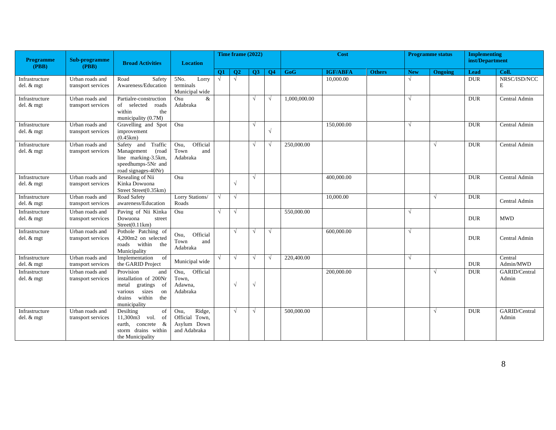| <b>Programme</b>               | Sub-programme                         | <b>Broad Activities</b>                                                                                                             | <b>Location</b>                                                 |            | Time frame (2022) |            |                |              | Cost            |               |            | <b>Programme status</b> | <b>Implementing</b><br>inst/Department |                        |
|--------------------------------|---------------------------------------|-------------------------------------------------------------------------------------------------------------------------------------|-----------------------------------------------------------------|------------|-------------------|------------|----------------|--------------|-----------------|---------------|------------|-------------------------|----------------------------------------|------------------------|
| (PBB)                          | (PBB)                                 |                                                                                                                                     |                                                                 | <b>O1</b>  | $\overline{O2}$   | <b>O3</b>  | Q <sub>4</sub> | GoG          | <b>IGF/ABFA</b> | <b>Others</b> | <b>New</b> | Ongoing                 | Lead                                   | Coll.                  |
| Infrastructure<br>del. & mgt   | Urban roads and<br>transport services | Safety<br>Road<br>Awareness/Education                                                                                               | 5No.<br>Lorry<br>terminals<br>Municipal wide                    | √          | $\sqrt{ }$        |            |                |              | 10,000.00       |               | N          |                         | <b>DUR</b>                             | NRSC/ISD/NCC<br>Е      |
| Infrastructure<br>del. & mgt   | Urban roads and<br>transport services | Partialre-construction<br>of selected<br>roads<br>within<br>the<br>municipality (0.7M)                                              | $\&$<br>Osu<br>Adabraka                                         |            |                   | $\sqrt{2}$ | V              | 1,000,000.00 |                 |               | $\sqrt{ }$ |                         | <b>DUR</b>                             | Central Admin          |
| Infrastructure<br>del. & mgt   | Urban roads and<br>transport services | Gravelling and Spot<br>improvement<br>(0.45km)                                                                                      | Osu                                                             |            |                   | $\sqrt{ }$ | $\sqrt{}$      |              | 150,000.00      |               | V          |                         | <b>DUR</b>                             | Central Admin          |
| Infrastructure<br>del. & mgt   | Urban roads and<br>transport services | Safety and Traffic<br>Management<br>(road)<br>line marking-3.5km,<br>speedhumps-5Nr and<br>road signages-40Nr)                      | Official<br>Osu,<br>Town<br>and<br>Adabraka                     |            |                   | $\sqrt{ }$ | $\sqrt{ }$     | 250,000.00   |                 |               |            | $\sqrt{ }$              | <b>DUR</b>                             | Central Admin          |
| Infrastructure<br>del. $&$ mgt | Urban roads and<br>transport services | Resealing of Nii<br>Kinka Dowuona<br>Street Street(0.35km)                                                                          | Osu                                                             |            | V                 | $\sqrt{ }$ |                |              | 400,000.00      |               |            |                         | <b>DUR</b>                             | Central Admin          |
| Infrastructure<br>del. & mgt   | Urban roads and<br>transport services | Road Safety<br>awareness/Education                                                                                                  | Lorry Stations/<br>Roads                                        | $\sqrt{ }$ | $\sqrt{ }$        |            |                |              | 10,000.00       |               |            | $\sqrt{ }$              | <b>DUR</b>                             | Central Admin          |
| Infrastructure<br>del. & mgt   | Urban roads and<br>transport services | Paving of Nii Kinka<br>Dowuona<br>street<br>Street(0.11km)                                                                          | Osu                                                             | $\sqrt{ }$ | $\sqrt{ }$        |            |                | 550,000.00   |                 |               | $\sqrt{ }$ |                         | <b>DUR</b>                             | <b>MWD</b>             |
| Infrastructure<br>del. & mgt   | Urban roads and<br>transport services | Pothole Patching of<br>4,200m2 on selected<br>roads within<br>the<br>Municipality                                                   | Official<br>Osu,<br>Town<br>and<br>Adabraka                     |            | $\sqrt{ }$        | $\sqrt{ }$ | $\sqrt{ }$     |              | 600,000.00      |               | V          |                         | <b>DUR</b>                             | Central Admin          |
| Infrastructure<br>del. & mgt   | Urban roads and<br>transport services | of<br>Implementation<br>the GARID Project                                                                                           | Municipal wide                                                  |            | $\sqrt{ }$        | $\sqrt{ }$ | $\sqrt{ }$     | 220,400.00   |                 |               | $\sqrt{ }$ |                         | <b>DUR</b>                             | Central<br>Admin/MWD   |
| Infrastructure<br>del. & mgt   | Urban roads and<br>transport services | Provision<br>and<br>installation of 200Nr<br>gratings of<br>metal<br>sizes<br>various<br>on<br>drains within<br>the<br>municipality | Official<br>Osu,<br>Town,<br>Adawna.<br>Adabraka                |            |                   | $\sqrt{ }$ |                |              | 200,000.00      |               |            | $\sqrt{ }$              | <b>DUR</b>                             | GARID/Central<br>Admin |
| Infrastructure<br>del. $&$ mgt | Urban roads and<br>transport services | Desilting<br>of<br>11,300m3 vol.<br>of<br>earth, concrete<br>&<br>storm drains within<br>the Municipality                           | Ridge,<br>Osu,<br>Official Town,<br>Asylum Down<br>and Adabraka |            | $\sqrt{ }$        | $\sqrt{ }$ |                | 500,000.00   |                 |               |            | $\sqrt{ }$              | <b>DUR</b>                             | GARID/Central<br>Admin |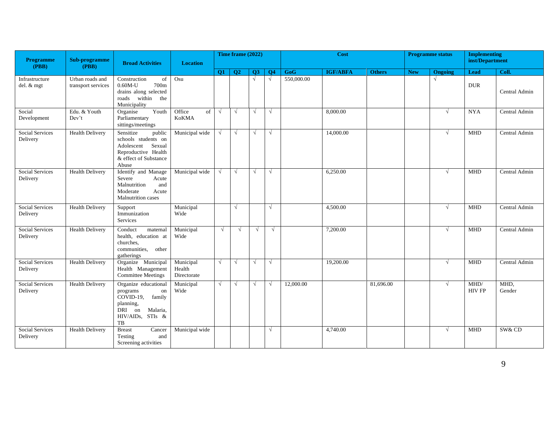| <b>Programme</b><br>(PBB)          | Sub-programme<br>(PBB)                | <b>Broad Activities</b>                                                                                                          | <b>Location</b>                    |            | Time frame (2022) |            |            |            | <b>Cost</b>     |               |            | <b>Programme status</b> | <b>Implementing</b><br>inst/Department |                |
|------------------------------------|---------------------------------------|----------------------------------------------------------------------------------------------------------------------------------|------------------------------------|------------|-------------------|------------|------------|------------|-----------------|---------------|------------|-------------------------|----------------------------------------|----------------|
|                                    |                                       |                                                                                                                                  |                                    | <b>O1</b>  | <b>O2</b>         | <b>O3</b>  | <b>O4</b>  | <b>GoG</b> | <b>IGF/ABFA</b> | <b>Others</b> | <b>New</b> | <b>Ongoing</b>          | Lead                                   | Coll.          |
| Infrastructure<br>del. & mgt       | Urban roads and<br>transport services | Construction<br>of<br>$0.60M-U$<br>700m<br>drains along selected<br>roads within the<br>Municipality                             | Osu                                |            |                   | $\sqrt{ }$ | $\sqrt{ }$ | 550,000.00 |                 |               |            | $\sqrt{ }$              | <b>DUR</b>                             | Central Admin  |
| Social<br>Development              | Edu. & Youth<br>Dev't                 | Youth<br>Organise<br>Parliamentary<br>sittings/meetings                                                                          | Office<br>of<br>KoKMA              | $\sqrt{ }$ | $\sqrt{ }$        | V          | $\sqrt{ }$ |            | 8,000.00        |               |            | $\sqrt{ }$              | <b>NYA</b>                             | Central Admin  |
| Social Services<br>Delivery        | <b>Health Delivery</b>                | Sensitize<br>public<br>schools students on<br>Sexual<br>Adolescent<br>Reproductive Health<br>& effect of Substance<br>Abuse      | Municipal wide                     | $\sqrt{ }$ | $\sqrt{ }$        | V          | $\sqrt{ }$ |            | 14,000.00       |               |            | $\sqrt{ }$              | <b>MHD</b>                             | Central Admin  |
| <b>Social Services</b><br>Delivery | <b>Health Delivery</b>                | Identify and Manage<br>Severe<br>Acute<br>Malnutrition<br>and<br>Moderate<br>Acute<br>Malnutrition cases                         | Municipal wide                     | $\sqrt{ }$ | $\sqrt{ }$        | N          | $\sqrt{ }$ |            | 6,250.00        |               |            | $\sqrt{ }$              | <b>MHD</b>                             | Central Admin  |
| Social Services<br>Delivery        | <b>Health Delivery</b>                | Support<br>Immunization<br>Services                                                                                              | Municipal<br>Wide                  |            | $\sqrt{ }$        |            | $\sqrt{ }$ |            | 4,500.00        |               |            | $\sqrt{ }$              | <b>MHD</b>                             | Central Admin  |
| Social Services<br>Delivery        | <b>Health Delivery</b>                | Conduct<br>maternal<br>health, education at<br>churches.<br>communities,<br>other<br>gatherings                                  | Municipal<br>Wide                  | $\sqrt{ }$ | $\sqrt{ }$        | $\sqrt{ }$ | $\sqrt{ }$ |            | 7,200.00        |               |            | $\sqrt{ }$              | <b>MHD</b>                             | Central Admin  |
| Social Services<br>Delivery        | <b>Health Delivery</b>                | Organize Municipal<br>Health Management<br><b>Committee Meetings</b>                                                             | Municipal<br>Health<br>Directorate | $\sqrt{ }$ | $\sqrt{ }$        | V          | $\sqrt{}$  |            | 19,200.00       |               |            | $\sqrt{ }$              | <b>MHD</b>                             | Central Admin  |
| Social Services<br>Delivery        | <b>Health Delivery</b>                | Organize educational<br>programs<br>on<br>$COVID-19$ ,<br>family<br>planning,<br>Malaria,<br>DRI<br>on<br>HIV/AIDs, STIs &<br>TB | Municipal<br>Wide                  | $\sqrt{ }$ | $\sqrt{ }$        | $\sqrt{}$  | $\sqrt{ }$ | 12,000.00  |                 | 81,696.00     |            | $\sqrt{ }$              | MHD/<br><b>HIV FP</b>                  | MHD.<br>Gender |
| Social Services<br>Delivery        | <b>Health Delivery</b>                | <b>Breast</b><br>Cancer<br>Testing<br>and<br>Screening activities                                                                | Municipal wide                     |            |                   |            | $\sqrt{ }$ |            | 4,740.00        |               |            | $\sqrt{ }$              | <b>MHD</b>                             | SW& CD         |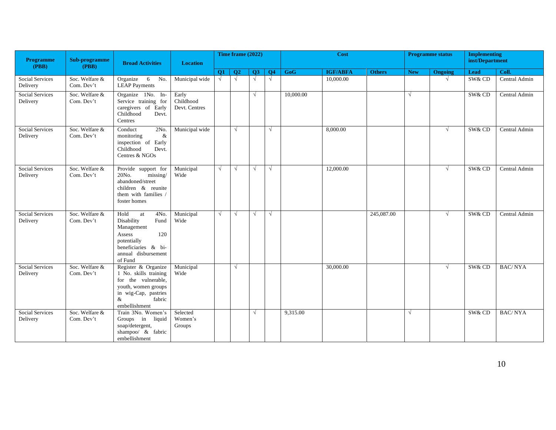| <b>Programme</b><br>(PBB)          | Sub-programme<br>(PBB)       | <b>Broad Activities</b>                                                                                                                            | <b>Location</b>                     |            | Time frame (2022) |            |                |           | Cost            |               |            | <b>Programme status</b> | <b>Implementing</b><br>inst/Department |                |
|------------------------------------|------------------------------|----------------------------------------------------------------------------------------------------------------------------------------------------|-------------------------------------|------------|-------------------|------------|----------------|-----------|-----------------|---------------|------------|-------------------------|----------------------------------------|----------------|
|                                    |                              |                                                                                                                                                    |                                     | Q1         | $\overline{O2}$   | <b>O3</b>  | Q <sub>4</sub> | GoG       | <b>IGF/ABFA</b> | <b>Others</b> | <b>New</b> | Ongoing                 | <b>Lead</b>                            | Coll.          |
| Social Services<br>Delivery        | Soc. Welfare &<br>Com. Dev't | Organize 6 No.<br><b>LEAP Payments</b>                                                                                                             | Municipal wide                      | $\sqrt{ }$ | $\sqrt{ }$        | $\sqrt{ }$ | $\sqrt{ }$     |           | 10,000.00       |               |            | $\sqrt{ }$              | SW& CD                                 | Central Admin  |
| Social Services<br>Delivery        | Soc. Welfare &<br>Com. Dev't | Organize 1No. In-<br>Service training for<br>caregivers of Early<br>Childhood<br>Devt.<br>Centres                                                  | Early<br>Childhood<br>Devt. Centres |            |                   | $\sqrt{ }$ |                | 10,000.00 |                 |               | $\sqrt{ }$ |                         | SW& CD                                 | Central Admin  |
| <b>Social Services</b><br>Delivery | Soc. Welfare &<br>Com. Dev't | Conduct<br>2No.<br>monitoring<br>$\&$<br>inspection of Early<br>Childhood<br>Devt.<br>Centres & NGOs                                               | Municipal wide                      |            | $\sqrt{ }$        |            | $\sqrt{ }$     |           | 8,000.00        |               |            | $\sqrt{ }$              | SW& CD                                 | Central Admin  |
| <b>Social Services</b><br>Delivery | Soc. Welfare &<br>Com. Dev't | Provide support for<br>missing/<br>20No.<br>abandoned/street<br>children & reunite<br>them with families /<br>foster homes                         | Municipal<br>Wide                   | $\sqrt{ }$ | $\sqrt{ }$        | $\sqrt{ }$ | $\sqrt{}$      |           | 12,000.00       |               |            | $\sqrt{ }$              | SW& CD                                 | Central Admin  |
| <b>Social Services</b><br>Delivery | Soc. Welfare &<br>Com. Dev't | Hold<br>4No.<br>at<br>Disability<br>Fund<br>Management<br>120<br>Assess<br>potentially<br>beneficiaries & bi-<br>annual disbursement<br>of Fund    | Municipal<br>Wide                   | $\sqrt{ }$ | $\sqrt{ }$        | $\sqrt{ }$ | $\sqrt{ }$     |           |                 | 245,087.00    |            | $\sqrt{ }$              | SW& CD                                 | Central Admin  |
| Social Services<br>Delivery        | Soc. Welfare &<br>Com. Dev't | Register & Organize<br>1 No. skills training<br>for the vulnerable,<br>youth, women groups<br>in wig-Cap, pastries<br>fabric<br>&<br>embellishment | Municipal<br>Wide                   |            | $\sqrt{ }$        |            |                |           | 30,000.00       |               |            | $\sqrt{ }$              | SW& CD                                 | <b>BAC/NYA</b> |
| Social Services<br>Delivery        | Soc. Welfare &<br>Com. Dev't | Train 3No. Women's<br>Groups in liquid<br>soap/detergent,<br>shampoo/ & fabric<br>embellishment                                                    | Selected<br>Women's<br>Groups       |            |                   | $\sqrt{ }$ |                | 9,315.00  |                 |               | $\sqrt{ }$ |                         | SW& CD                                 | <b>BAC/NYA</b> |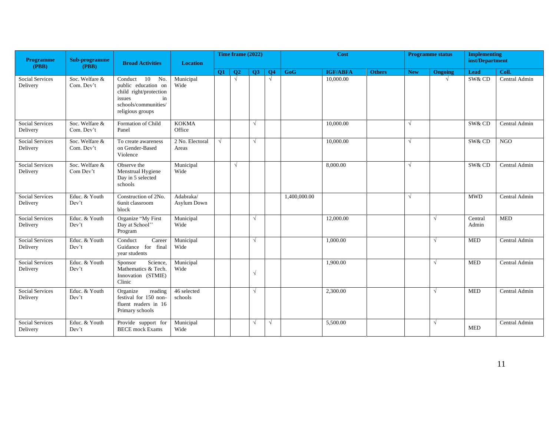| Programme<br>(PBB)                 | Sub-programme<br>(PBB)       | <b>Broad Activities</b>                                                                                                        | <b>Location</b>                 |            | Time frame (2022) |            |                |              | Cost            |               |            | <b>Programme status</b> | <b>Implementing</b><br>inst/Department |               |
|------------------------------------|------------------------------|--------------------------------------------------------------------------------------------------------------------------------|---------------------------------|------------|-------------------|------------|----------------|--------------|-----------------|---------------|------------|-------------------------|----------------------------------------|---------------|
|                                    |                              |                                                                                                                                |                                 | <b>O1</b>  | Q <sub>2</sub>    | Q3         | Q <sub>4</sub> | GoG          | <b>IGF/ABFA</b> | <b>Others</b> | <b>New</b> | Ongoing                 | <b>Lead</b>                            | Coll.         |
| <b>Social Services</b><br>Delivery | Soc. Welfare &<br>Com. Dev't | 10 No.<br>Conduct<br>public education on<br>child right/protection<br>issues<br>in<br>schools/communities/<br>religious groups | Municipal<br>Wide               |            | $\sqrt{ }$        |            | $\sqrt{ }$     |              | 10,000.00       |               |            | $\sqrt{ }$              | SW& CD                                 | Central Admin |
| <b>Social Services</b><br>Delivery | Soc. Welfare &<br>Com. Dev't | Formation of Child<br>Panel                                                                                                    | <b>KOKMA</b><br>Office          |            |                   | $\sqrt{ }$ |                |              | 10,000.00       |               | $\sqrt{ }$ |                         | SW& CD                                 | Central Admin |
| Social Services<br>Delivery        | Soc. Welfare &<br>Com. Dev't | To create awareness<br>on Gender-Based<br>Violence                                                                             | 2 No. Electoral<br>Areas        | $\sqrt{ }$ |                   | $\sqrt{ }$ |                |              | 10,000.00       |               | $\sqrt{ }$ |                         | SW& CD                                 | <b>NGO</b>    |
| Social Services<br>Delivery        | Soc. Welfare &<br>Com Dev't  | Observe the<br>Menstrual Hygiene<br>Day in 5 selected<br>schools                                                               | Municipal<br>Wide               |            | $\sqrt{ }$        |            |                |              | 8,000.00        |               | $\sqrt{ }$ |                         | SW& CD                                 | Central Admin |
| <b>Social Services</b><br>Delivery | Educ. & Youth<br>Dev't       | Construction of 2No.<br>6unit classroom<br>block                                                                               | Adabraka/<br><b>Asylum Down</b> |            |                   |            |                | 1,400,000.00 |                 |               | $\sqrt{ }$ |                         | <b>MWD</b>                             | Central Admin |
| <b>Social Services</b><br>Delivery | Educ. & Youth<br>Dev't       | Organize "My First<br>Day at School"<br>Program                                                                                | Municipal<br>Wide               |            |                   | $\sqrt{ }$ |                |              | 12,000.00       |               |            | $\sqrt{ }$              | Central<br>Admin                       | <b>MED</b>    |
| Social Services<br>Delivery        | Educ. & Youth<br>Dev't       | Conduct<br>Career<br>Guidance for final<br>vear students                                                                       | Municipal<br>Wide               |            |                   | $\sqrt{ }$ |                |              | 1,000.00        |               |            | $\sqrt{ }$              | <b>MED</b>                             | Central Admin |
| <b>Social Services</b><br>Delivery | Educ. & Youth<br>Dev't       | Science,<br>Sponsor<br>Mathematics & Tech.<br>Innovation (STMIE)<br>Clinic                                                     | Municipal<br>Wide               |            |                   | $\sqrt{ }$ |                |              | 1,900.00        |               |            | $\sqrt{ }$              | <b>MED</b>                             | Central Admin |
| <b>Social Services</b><br>Delivery | Educ. & Youth<br>Dev't       | Organize<br>reading<br>festival for 150 non-<br>fluent readers in 16<br>Primary schools                                        | 46 selected<br>schools          |            |                   | $\sqrt{ }$ |                |              | 2,300.00        |               |            | $\sqrt{ }$              | <b>MED</b>                             | Central Admin |
| Social Services<br>Delivery        | Educ. & Youth<br>Dev't       | Provide support for<br><b>BECE</b> mock Exams                                                                                  | Municipal<br>Wide               |            |                   | $\sqrt{ }$ | $\sqrt{ }$     |              | 5.500.00        |               |            | $\sqrt{ }$              | <b>MED</b>                             | Central Admin |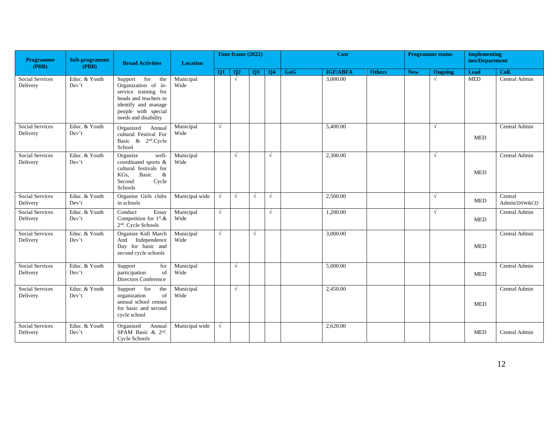| <b>Programme</b>                   | Sub-programme          | <b>Broad Activities</b>                                                                                                                                       | <b>Location</b>   |            | Time frame (2022) |            |                |     | Cost            |               |            | <b>Programme status</b> | <b>Implementing</b><br>inst/Department |                         |
|------------------------------------|------------------------|---------------------------------------------------------------------------------------------------------------------------------------------------------------|-------------------|------------|-------------------|------------|----------------|-----|-----------------|---------------|------------|-------------------------|----------------------------------------|-------------------------|
| (PBB)                              | (PBB)                  |                                                                                                                                                               |                   | Q1         | $\overline{O2}$   | Q3         | Q <sub>4</sub> | GoG | <b>IGF/ABFA</b> | <b>Others</b> | <b>New</b> | <b>Ongoing</b>          | Lead                                   | Coll.                   |
| <b>Social Services</b><br>Delivery | Educ. & Youth<br>Dev't | Support for the<br>Organization of in-<br>service training for<br>heads and teachers to<br>identify and manage<br>people with special<br>needs and disability | Municipal<br>Wide |            | $\sqrt{ }$        |            |                |     | 3,000.00        |               |            | $\sqrt{ }$              | <b>MED</b>                             | Central Admin           |
| Social Services<br>Delivery        | Educ. & Youth<br>Dev't | Organized<br>Annual<br>cultural Festival For<br>Basic & 2 <sup>nd</sup> .Cycle<br>School                                                                      | Municipal<br>Wide | $\sqrt{ }$ |                   |            |                |     | 5,400.00        |               |            | $\sqrt{ }$              | <b>MED</b>                             | Central Admin           |
| Social Services<br>Delivery        | Educ. & Youth<br>Dev't | Organize<br>well-<br>coordinated sports &<br>cultural festivals for<br>Basic<br>KGs,<br>$\&$<br>Second<br>Cycle<br>Schools                                    | Municipal<br>Wide |            | $\sqrt{ }$        |            | $\sqrt{ }$     |     | 2,300.00        |               |            | $\sqrt{ }$              | <b>MED</b>                             | Central Admin           |
| <b>Social Services</b><br>Delivery | Educ. & Youth<br>Dev't | Organise Girls clubs<br>in schools                                                                                                                            | Municipal wide    | $\sqrt{ }$ | $\sqrt{ }$        | $\sqrt{ }$ | $\sqrt{ }$     |     | 2,500.00        |               |            | $\sqrt{ }$              | <b>MED</b>                             | Central<br>Admin/DSW&CD |
| Social Services<br>Delivery        | Educ. & Youth<br>Dev't | Essay<br>Conduct<br>Competition for 1st.&<br>2 <sup>nd</sup> . Cycle Schools                                                                                  | Municipal<br>Wide | $\sqrt{ }$ |                   |            | $\sqrt{ }$     |     | 1,200.00        |               |            | $\sqrt{ }$              | <b>MED</b>                             | Central Admin           |
| Social Services<br>Delivery        | Educ. & Youth<br>Dev't | Organize Kidi March<br>Independence<br>And<br>Day for basic and<br>second cycle schools                                                                       | Municipal<br>Wide | $\sqrt{ }$ |                   | $\sqrt{ }$ |                |     | 3,000.00        |               |            |                         | <b>MED</b>                             | Central Admin           |
| Social Services<br>Delivery        | Educ. & Youth<br>Dev't | Support<br>for<br>participation<br>of<br>Directors Conference                                                                                                 | Municipal<br>Wide |            | $\sqrt{ }$        |            |                |     | 5,000.00        |               |            |                         | <b>MED</b>                             | Central Admin           |
| <b>Social Services</b><br>Delivery | Educ. & Youth<br>Dev't | Support for<br>the<br>organization<br>of<br>annual school census<br>for basic and second<br>cycle school                                                      | Municipal<br>Wide |            | $\sqrt{ }$        |            |                |     | 2,450.00        |               |            |                         | <b>MED</b>                             | Central Admin           |
| <b>Social Services</b><br>Delivery | Educ. & Youth<br>Dev't | Organized<br>Annual<br>SPAM Basic & 2nd.<br><b>Cycle Schools</b>                                                                                              | Municipal wide    | $\sqrt{ }$ |                   |            |                |     | 2,620.00        |               |            |                         | <b>MED</b>                             | Central Admin           |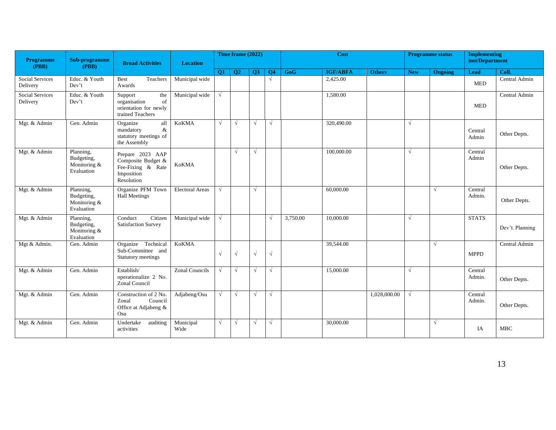| <b>Programme</b><br>(PBB)          | Sub-programme<br>(PBB)                                | <b>Broad Activities</b>                                                                 | <b>Location</b>        | Time frame (2022) |            |            |                | Cost     |                 |               | <b>Programme status</b> |            | <b>Implementing</b><br>inst/Department |                 |
|------------------------------------|-------------------------------------------------------|-----------------------------------------------------------------------------------------|------------------------|-------------------|------------|------------|----------------|----------|-----------------|---------------|-------------------------|------------|----------------------------------------|-----------------|
|                                    |                                                       |                                                                                         |                        | <b>O1</b>         | <b>O2</b>  | <b>O3</b>  | Q <sub>4</sub> | GoG      | <b>IGF/ABFA</b> | <b>Others</b> | <b>New</b>              | Ongoing    | <b>Lead</b>                            | Coll.           |
| <b>Social Services</b><br>Delivery | Educ. & Youth<br>Dev't                                | Teachers<br><b>Best</b><br>Awards                                                       | Municipal wide         |                   |            |            | $\sqrt{ }$     |          | 2,425.00        |               |                         |            | <b>MED</b>                             | Central Admin   |
| <b>Social Services</b><br>Delivery | Educ. & Youth<br>Dev't                                | Support<br>the<br>organisation<br>of<br>orientation for newly<br>trained Teachers       | Municipal wide         | $\sqrt{ }$        |            |            |                |          | 1,580.00        |               |                         |            | <b>MED</b>                             | Central Admin   |
| Mgt. & Admin                       | Gen. Admin                                            | all<br>Organize<br>mandatory<br>&<br>statutory meetings of<br>the Assembly              | <b>KoKMA</b>           | √                 | $\sqrt{ }$ | $\sqrt{ }$ | $\sqrt{ }$     |          | 320,490.00      |               | $\sqrt{ }$              |            | Central<br>Admin                       | Other Depts.    |
| Mgt. & Admin                       | Planning,<br>Budgeting,<br>Monitoring &<br>Evaluation | Prepare 2023 AAP<br>Composite Budget &<br>Fee-Fixing & Rate<br>Imposition<br>Resolution | <b>KoKMA</b>           |                   | $\sqrt{ }$ | $\sqrt{ }$ |                |          | 100,000.00      |               | $\sqrt{ }$              |            | Central<br>Admin                       | Other Depts.    |
| Mgt. & Admin                       | Planning,<br>Budgeting,<br>Monitoring &<br>Evaluation | Organize PFM Town<br><b>Hall Meetings</b>                                               | <b>Electoral Areas</b> | √                 |            | $\sqrt{ }$ |                |          | 60,000.00       |               |                         | $\sqrt{ }$ | Central<br>Admin.                      | Other Depts.    |
| Mgt. & Admin                       | Planning,<br>Budgeting,<br>Monitoring &<br>Evaluation | Conduct<br>Citizen<br>Satisfaction Survey                                               | Municipal wide         | $\sqrt{ }$        |            |            | $\sqrt{ }$     | 3,750.00 | 10,000.00       |               | $\sqrt{ }$              |            | <b>STATS</b>                           | Dev't. Planning |
| Mgt & Admin.                       | Gen. Admin                                            | Organize Technical<br>Sub-Committee and<br>Statutory meetings                           | <b>KoKMA</b>           | $\sqrt{ }$        | $\sqrt{ }$ | $\sqrt{ }$ | $\sqrt{ }$     |          | 39,544.00       |               |                         | $\sqrt{ }$ | <b>MPPD</b>                            | Central Admin   |
| Mgt. & Admin                       | Gen. Admin                                            | Establish/<br>operationalize 2 No.<br>Zonal Council                                     | <b>Zonal Councils</b>  | $\sqrt{ }$        | $\sqrt{ }$ | $\sqrt{ }$ | $\sqrt{ }$     |          | 15,000.00       |               | $\sqrt{ }$              |            | Central<br>Admin.                      | Other Depts.    |
| Mgt. & Admin                       | Gen. Admin                                            | Construction of 2 No.<br>Council<br>Zonal<br>Office at Adjabeng &<br>Osu                | Adjabeng/Osu           | √                 | $\sqrt{ }$ | $\sqrt{ }$ | $\sqrt{ }$     |          |                 | 1,028,000.00  | V                       |            | Central<br>Admin.                      | Other Depts.    |
| Mgt. & Admin                       | Gen. Admin                                            | Undertake<br>auditing<br>activities                                                     | Municipal<br>Wide      | √                 | $\sqrt{ }$ | $\sqrt{ }$ | $\sqrt{ }$     |          | 30,000.00       |               |                         | $\sqrt{ }$ | IA                                     | <b>MBC</b>      |